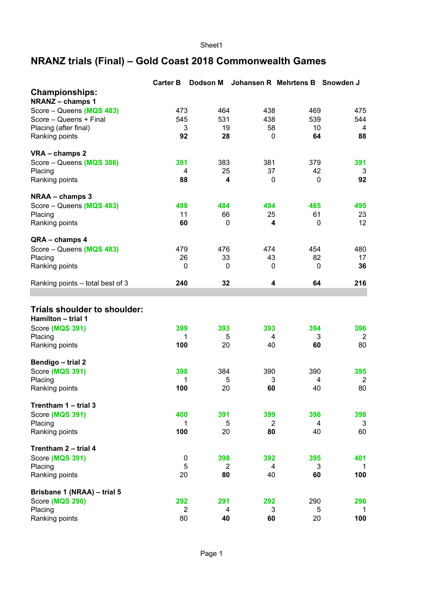Sheet1

## **NRANZ trials (Final) – Gold Coast 2018 Commonwealth Games**

|                                                           | <b>Carter B</b> | <b>Dodson M</b> | Johansen R Mehrtens B |         | Snowden J |
|-----------------------------------------------------------|-----------------|-----------------|-----------------------|---------|-----------|
| <b>Championships:</b><br><b>NRANZ-champs1</b>             |                 |                 |                       |         |           |
| Score - Queens (MQS 483)                                  | 473             | 464             | 438                   | 469     | 475       |
| Score - Queens + Final                                    | 545             | 531             | 438                   | 539     | 544       |
| Placing (after final)                                     | 3               | 19              | 58                    | 10      | 4         |
| Ranking points                                            | 92              | 28              | 0                     | 64      | 88        |
| VRA - champs 2                                            |                 |                 |                       |         |           |
| Score - Queens (MQS 386)                                  | 391             | 383             | 381                   | 379     | 391       |
| Placing<br>Ranking points                                 | 4<br>88         | 25<br>4         | 37<br>0               | 42<br>0 | 3<br>92   |
|                                                           |                 |                 |                       |         |           |
| NRAA - champs 3                                           |                 |                 |                       |         |           |
| Score - Queens (MQS 483)                                  | 498             | 484             | 494                   | 485     | 495       |
| Placing                                                   | 11              | 66              | 25                    | 61      | 23        |
| Ranking points                                            | 60              | 0               | 4                     | 0       | 12        |
| QRA - champs 4                                            |                 |                 |                       |         |           |
| Score - Queens (MQS 483)                                  | 479             | 476             | 474                   | 454     | 480       |
| Placing                                                   | 26              | 33              | 43                    | 82      | 17        |
| Ranking points                                            | 0               | 0               | 0                     | 0       | 36        |
| Ranking points - total best of 3                          | 240             | 32              | 4                     | 64      | 216       |
|                                                           |                 |                 |                       |         |           |
| <b>Trials shoulder to shoulder:</b><br>Hamilton - trial 1 |                 |                 |                       |         |           |
| Score (MQS 391)                                           | 399             | 393             | 393                   | 394     | 396       |
| Placing                                                   | 1               | 5               | 4                     | 3       | 2         |
| Ranking points                                            | 100             | 20              | 40                    | 60      | 80        |
| Bendigo - trial 2                                         |                 |                 |                       |         |           |
| Score (MQS 391)                                           | 398             | 384             | 390                   | 390     | 395       |
| Placing                                                   | 1               | 5               | 3                     | 4       | 2         |
| Ranking points                                            | 100             | 20              | 60                    | 40      | 80        |
| Trentham 1 - trial 3                                      |                 |                 |                       |         |           |
| Score (MQS 391)                                           | 400             | 391             | 399                   | 396     | 398       |
| Placing                                                   | 1               | 5               | $\overline{2}$        | 4       | 3         |
| Ranking points                                            | 100             | 20              | 80                    | 40      | 60        |
| Trentham 2 - trial 4                                      |                 |                 |                       |         |           |
| Score (MQS 391)                                           | $\pmb{0}$       | 398             | 392                   | 395     | 401       |
| Placing                                                   | 5               | $\overline{2}$  | 4                     | 3       | -1        |
| Ranking points                                            | 20              | 80              | 40                    | 60      | 100       |
| Brisbane 1 (NRAA) - trial 5                               |                 |                 |                       |         |           |
| Score (MQS 290)                                           | 292             | 291             | 292                   | 290     | 296       |
| Placing                                                   | $\overline{2}$  | 4               | 3                     | 5       | 1         |
| Ranking points                                            | 80              | 40              | 60                    | 20      | 100       |